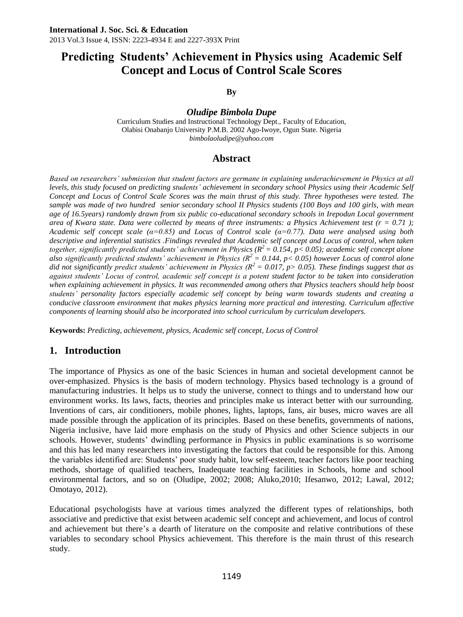**By**

*Oludipe Bimbola Dupe*

Curriculum Studies and Instructional Technology Dept., Faculty of Education, Olabisi Onabanjo University P.M.B. 2002 Ago-Iwoye, Ogun State. Nigeria *bimbolaoludipe@yahoo.com*

# **Abstract**

*Based on researchers' submission that student factors are germane in explaining underachievement in Physics at all levels, this study focused on predicting students' achievement in secondary school Physics using their Academic Self Concept and Locus of Control Scale Scores was the main thrust of this study. Three hypotheses were tested. The sample was made of two hundred senior secondary school II Physics students (100 Boys and 100 girls, with mean age of 16.5years) randomly drawn from six public co-educational secondary schools in Irepodun Local government area of Kwara state. Data were collected by means of three instruments: a Physics Achievement test (r = 0.71 ); Academic self concept scale (α=0.85) and Locus of Control scale (α=0.77). Data were analysed using both*  descriptive and inferential statistics .Findings revealed that Academic self concept and Locus of control, when taken *together, significantly predicted students' achievement in Physics (R<sup>2</sup> = 0.154, p< 0.05); academic self concept alone also significantly predicted students' achievement in Physics (* $R^2 = 0.144$ *, p< 0.05) however Locus of control alone did not significantly predict students' achievement in Physics (R<sup>2</sup> = 0.017, p> 0.05). These findings suggest that as against students' Locus of control, academic self concept is a potent student factor to be taken into consideration when explaining achievement in physics. It was recommended among others that Physics teachers should help boost students' personality factors especially academic self concept by being warm towards students and creating a conducive classroom environment that makes physics learning more practical and interesting. Curriculum affective components of learning should also be incorporated into school curriculum by curriculum developers.*

**Keywords:** *Predicting, achievement, physics, Academic self concept, Locus of Control* 

# **1. Introduction**

The importance of Physics as one of the basic Sciences in human and societal development cannot be over-emphasized. Physics is the basis of modern technology. Physics based technology is a ground of manufacturing industries. It helps us to study the universe, connect to things and to understand how our environment works. Its laws, facts, theories and principles make us interact better with our surrounding. Inventions of cars, air conditioners, mobile phones, lights, laptops, fans, air buses, micro waves are all made possible through the application of its principles. Based on these benefits, governments of nations, Nigeria inclusive, have laid more emphasis on the study of Physics and other Science subjects in our schools. However, students' dwindling performance in Physics in public examinations is so worrisome and this has led many researchers into investigating the factors that could be responsible for this. Among the variables identified are: Students' poor study habit, low self-esteem, teacher factors like poor teaching methods, shortage of qualified teachers, Inadequate teaching facilities in Schools, home and school environmental factors, and so on (Oludipe, 2002; 2008; Aluko,2010; Ifesanwo, 2012; Lawal, 2012; Omotayo, 2012).

Educational psychologists have at various times analyzed the different types of relationships, both associative and predictive that exist between academic self concept and achievement, and locus of control and achievement but there's a dearth of literature on the composite and relative contributions of these variables to secondary school Physics achievement. This therefore is the main thrust of this research study.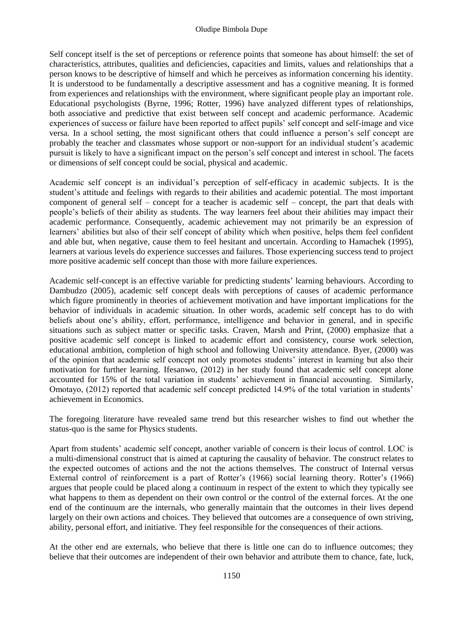#### Oludipe Bimbola Dupe

Self concept itself is the set of perceptions or reference points that someone has about himself: the set of characteristics, attributes, qualities and deficiencies, capacities and limits, values and relationships that a person knows to be descriptive of himself and which he perceives as information concerning his identity. It is understood to be fundamentally a descriptive assessment and has a cognitive meaning. It is formed from experiences and relationships with the environment, where significant people play an important role. Educational psychologists (Byrne, 1996; Rotter, 1996) have analyzed different types of relationships, both associative and predictive that exist between self concept and academic performance. Academic experiences of success or failure have been reported to affect pupils' self concept and self-image and vice versa. In a school setting, the most significant others that could influence a person's self concept are probably the teacher and classmates whose support or non-support for an individual student's academic pursuit is likely to have a significant impact on the person's self concept and interest in school. The facets or dimensions of self concept could be social, physical and academic.

Academic self concept is an individual's perception of self-efficacy in academic subjects. It is the student's attitude and feelings with regards to their abilities and academic potential. The most important component of general self – concept for a teacher is academic self – concept, the part that deals with people's beliefs of their ability as students. The way learners feel about their abilities may impact their academic performance. Consequently, academic achievement may not primarily be an expression of learners' abilities but also of their self concept of ability which when positive, helps them feel confident and able but, when negative, cause them to feel hesitant and uncertain. According to Hamachek (1995), learners at various levels do experience successes and failures. Those experiencing success tend to project more positive academic self concept than those with more failure experiences.

Academic self-concept is an effective variable for predicting students' learning behaviours. According to Dambudzo (2005), academic self concept deals with perceptions of causes of academic performance which figure prominently in theories of achievement motivation and have important implications for the behavior of individuals in academic situation. In other words, academic self concept has to do with beliefs about one's ability, effort, performance, intelligence and behavior in general, and in specific situations such as subject matter or specific tasks. Craven, Marsh and Print, (2000) emphasize that a positive academic self concept is linked to academic effort and consistency, course work selection, educational ambition, completion of high school and following University attendance. Byer, (2000) was of the opinion that academic self concept not only promotes students' interest in learning but also their motivation for further learning. Ifesanwo, (2012) in her study found that academic self concept alone accounted for 15% of the total variation in students' achievement in financial accounting. Similarly, Omotayo, (2012) reported that academic self concept predicted 14.9% of the total variation in students' achievement in Economics.

The foregoing literature have revealed same trend but this researcher wishes to find out whether the status-quo is the same for Physics students.

Apart from students' academic self concept, another variable of concern is their locus of control. LOC is a multi-dimensional construct that is aimed at capturing the causality of behavior. The construct relates to the expected outcomes of actions and the not the actions themselves. The construct of Internal versus External control of reinforcement is a part of Rotter's (1966) social learning theory. Rotter's (1966) argues that people could be placed along a continuum in respect of the extent to which they typically see what happens to them as dependent on their own control or the control of the external forces. At the one end of the continuum are the internals, who generally maintain that the outcomes in their lives depend largely on their own actions and choices. They believed that outcomes are a consequence of own striving, ability, personal effort, and initiative. They feel responsible for the consequences of their actions.

At the other end are externals, who believe that there is little one can do to influence outcomes; they believe that their outcomes are independent of their own behavior and attribute them to chance, fate, luck,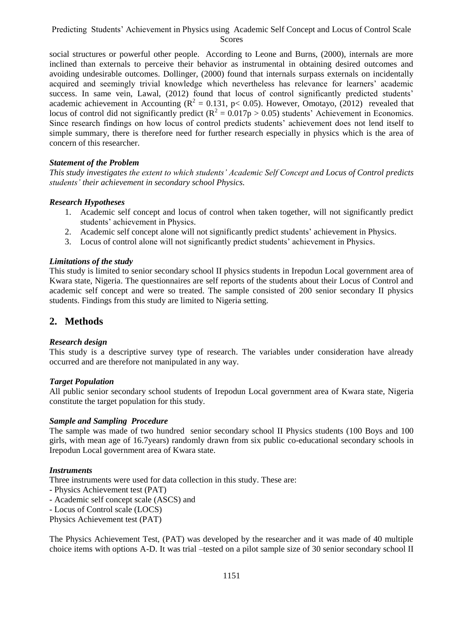social structures or powerful other people. According to Leone and Burns, (2000), internals are more inclined than externals to perceive their behavior as instrumental in obtaining desired outcomes and avoiding undesirable outcomes. Dollinger, (2000) found that internals surpass externals on incidentally acquired and seemingly trivial knowledge which nevertheless has relevance for learners' academic success. In same vein, Lawal, (2012) found that locus of control significantly predicted students' academic achievement in Accounting ( $R^2 = 0.131$ ,  $p < 0.05$ ). However, Omotayo, (2012) revealed that locus of control did not significantly predict ( $R^2 = 0.017p > 0.05$ ) students' Achievement in Economics. Since research findings on how locus of control predicts students' achievement does not lend itself to simple summary, there is therefore need for further research especially in physics which is the area of concern of this researcher.

#### *Statement of the Problem*

*This study investigates the extent to which students' Academic Self Concept and Locus of Control predicts students' their achievement in secondary school Physics.*

#### *Research Hypotheses*

- 1. Academic self concept and locus of control when taken together, will not significantly predict students' achievement in Physics.
- 2. Academic self concept alone will not significantly predict students' achievement in Physics.
- 3. Locus of control alone will not significantly predict students' achievement in Physics.

#### *Limitations of the study*

This study is limited to senior secondary school II physics students in Irepodun Local government area of Kwara state, Nigeria. The questionnaires are self reports of the students about their Locus of Control and academic self concept and were so treated. The sample consisted of 200 senior secondary II physics students. Findings from this study are limited to Nigeria setting.

# **2. Methods**

#### *Research design*

This study is a descriptive survey type of research. The variables under consideration have already occurred and are therefore not manipulated in any way.

#### *Target Population*

All public senior secondary school students of Irepodun Local government area of Kwara state, Nigeria constitute the target population for this study.

#### *Sample and Sampling Procedure*

The sample was made of two hundred senior secondary school II Physics students (100 Boys and 100 girls, with mean age of 16.7years) randomly drawn from six public co-educational secondary schools in Irepodun Local government area of Kwara state.

#### *Instruments*

Three instruments were used for data collection in this study. These are:

- Physics Achievement test (PAT)
- Academic self concept scale (ASCS) and
- Locus of Control scale (LOCS)

Physics Achievement test (PAT)

The Physics Achievement Test, (PAT) was developed by the researcher and it was made of 40 multiple choice items with options A-D. It was trial –tested on a pilot sample size of 30 senior secondary school II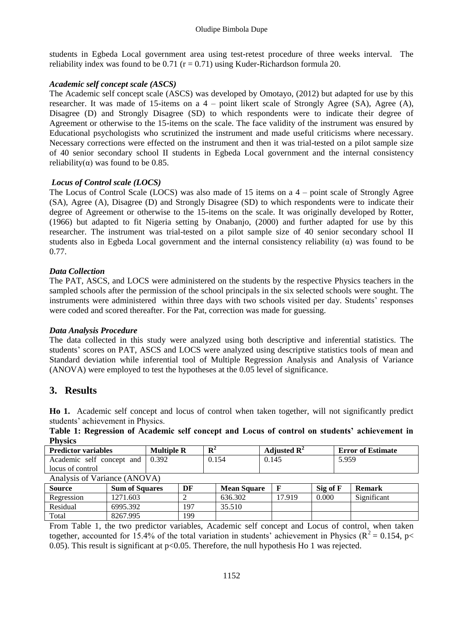students in Egbeda Local government area using test-retest procedure of three weeks interval. The reliability index was found to be  $0.71$  ( $r = 0.71$ ) using Kuder-Richardson formula 20.

#### *Academic self concept scale (ASCS)*

The Academic self concept scale (ASCS) was developed by Omotayo, (2012) but adapted for use by this researcher. It was made of 15-items on a 4 – point likert scale of Strongly Agree (SA), Agree (A), Disagree (D) and Strongly Disagree (SD) to which respondents were to indicate their degree of Agreement or otherwise to the 15-items on the scale. The face validity of the instrument was ensured by Educational psychologists who scrutinized the instrument and made useful criticisms where necessary. Necessary corrections were effected on the instrument and then it was trial-tested on a pilot sample size of 40 senior secondary school II students in Egbeda Local government and the internal consistency reliability( $\alpha$ ) was found to be 0.85.

#### *Locus of Control scale (LOCS)*

The Locus of Control Scale (LOCS) was also made of 15 items on a 4 – point scale of Strongly Agree (SA), Agree (A), Disagree (D) and Strongly Disagree (SD) to which respondents were to indicate their degree of Agreement or otherwise to the 15-items on the scale. It was originally developed by Rotter, (1966) but adapted to fit Nigeria setting by Onabanjo, (2000) and further adapted for use by this researcher. The instrument was trial-tested on a pilot sample size of 40 senior secondary school II students also in Egbeda Local government and the internal consistency reliability  $(\alpha)$  was found to be 0.77.

#### *Data Collection*

The PAT, ASCS, and LOCS were administered on the students by the respective Physics teachers in the sampled schools after the permission of the school principals in the six selected schools were sought. The instruments were administered within three days with two schools visited per day. Students' responses were coded and scored thereafter. For the Pat, correction was made for guessing.

#### *Data Analysis Procedure*

The data collected in this study were analyzed using both descriptive and inferential statistics. The students' scores on PAT, ASCS and LOCS were analyzed using descriptive statistics tools of mean and Standard deviation while inferential tool of Multiple Regression Analysis and Analysis of Variance (ANOVA) were employed to test the hypotheses at the 0.05 level of significance.

# **3. Results**

**Ho 1.** Academic self concept and locus of control when taken together, will not significantly predict students' achievement in Physics.

|                | Table 1: Regression of Academic self concept and Locus of control on students' achievement in |  |  |  |  |  |  |
|----------------|-----------------------------------------------------------------------------------------------|--|--|--|--|--|--|
| <b>Physics</b> |                                                                                               |  |  |  |  |  |  |

| <b>Predictor variables</b>      | <b>Multiple R</b> | ${\bf p}^2$              | Adjusted $\mathbb{R}^2$ | <b>Error of Estimate</b>      |  |  |  |
|---------------------------------|-------------------|--------------------------|-------------------------|-------------------------------|--|--|--|
| Academic self concept and 0.392 |                   | 0.154                    | 0.145                   | 5.959                         |  |  |  |
| locus of control                |                   |                          |                         |                               |  |  |  |
| Analysis of Variance (ANOVA)    |                   |                          |                         |                               |  |  |  |
| $\alpha$ $\alpha$<br>$\sim$     | $\mathbf{r}$      | $\sim$<br>$\blacksquare$ | $\sim$                  | $\sim$ $\sim$<br>$\mathbf{r}$ |  |  |  |

| Source     | <b>Sum of Squares</b> | DF  | <b>Mean Square</b> |        | Sig of F | <b>Remark</b> |
|------------|-----------------------|-----|--------------------|--------|----------|---------------|
| Regression | 271.603               |     | 636.302            | 17.919 | 0.000    | Significant   |
| Residual   | 6995.392              | 197 | 35.510             |        |          |               |
| Total      | 8267.995              | 199 |                    |        |          |               |

From Table 1, the two predictor variables, Academic self concept and Locus of control, when taken together, accounted for 15.4% of the total variation in students' achievement in Physics ( $R^2 = 0.154$ , p< 0.05). This result is significant at p<0.05. Therefore, the null hypothesis Ho 1 was rejected.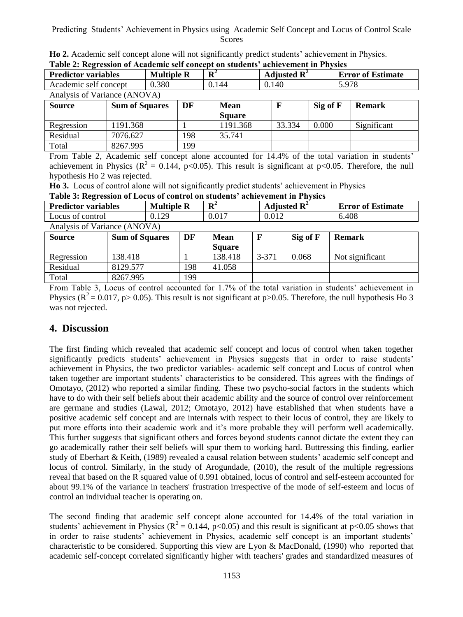|  | <b>Ho 2.</b> Academic self concept alone will not significantly predict students' achievement in Physics. |  |  |  |  |
|--|-----------------------------------------------------------------------------------------------------------|--|--|--|--|
|  | Table 2: Regression of Academic self concept on students' achievement in Physics                          |  |  |  |  |

| <b>Predictor variables</b>   | <b>Multiple R</b> | ${\bf R}^2$ | Adjusted $\mathbb{R}^2$ | <b>Error of Estimate</b> |
|------------------------------|-------------------|-------------|-------------------------|--------------------------|
| Academic self concept        | 0.380             | 0.144       | 0.140                   | 5.978                    |
| Analysis of Variance (ANOVA) |                   |             |                         |                          |

| <b>Source</b> | <b>Sum of Squares</b> | DF  | <b>Mean</b>   |        | Sig of F | <b>Remark</b> |
|---------------|-----------------------|-----|---------------|--------|----------|---------------|
|               |                       |     | <b>Square</b> |        |          |               |
| Regression    | 1191.368              |     | 1191.368      | 33.334 | 0.000    | Significant   |
| Residual      | 7076.627              | 198 | 35.741        |        |          |               |
| Total         | 8267.995              | 199 |               |        |          |               |

From Table 2, Academic self concept alone accounted for 14.4% of the total variation in students' achievement in Physics ( $\mathbb{R}^2 = 0.144$ , p<0.05). This result is significant at p<0.05. Therefore, the null hypothesis Ho 2 was rejected.

**Ho 3.** Locus of control alone will not significantly predict students' achievement in Physics

**Table 3: Regression of Locus of control on students' achievement in Physics**

| <b>Predictor variables</b>   | <b>Multiple R</b>     |       | ${\bf R}^2$ |               | Adjusted $\mathbb{R}^2$ | <b>Error of Estimate</b> |                 |  |
|------------------------------|-----------------------|-------|-------------|---------------|-------------------------|--------------------------|-----------------|--|
| Locus of control             |                       | 0.129 |             | 0.017         | 0.012                   |                          | 6.408           |  |
| Analysis of Variance (ANOVA) |                       |       |             |               |                         |                          |                 |  |
| <b>Source</b>                | <b>Sum of Squares</b> | DF    |             | <b>Mean</b>   |                         | Sig of F                 | <b>Remark</b>   |  |
|                              |                       |       |             | <b>Square</b> |                         |                          |                 |  |
| Regression                   | 138.418               |       |             | 138.418       | $3 - 371$               | 0.068                    | Not significant |  |
| Residual                     | 8129.577              |       | 198         | 41.058        |                         |                          |                 |  |
| Total                        | 8267.995              |       | 199         |               |                         |                          |                 |  |

From Table 3, Locus of control accounted for 1.7% of the total variation in students' achievement in Physics ( $\mathbb{R}^2 = 0.017$ , p $> 0.05$ ). This result is not significant at p $> 0.05$ . Therefore, the null hypothesis Ho 3 was not rejected.

# **4. Discussion**

The first finding which revealed that academic self concept and locus of control when taken together significantly predicts students' achievement in Physics suggests that in order to raise students' achievement in Physics, the two predictor variables- academic self concept and Locus of control when taken together are important students' characteristics to be considered. This agrees with the findings of Omotayo, (2012) who reported a similar finding. These two psycho-social factors in the students which have to do with their self beliefs about their academic ability and the source of control over reinforcement are germane and studies (Lawal, 2012; Omotayo, 2012) have established that when students have a positive academic self concept and are internals with respect to their locus of control, they are likely to put more efforts into their academic work and it's more probable they will perform well academically. This further suggests that significant others and forces beyond students cannot dictate the extent they can go academically rather their self beliefs will spur them to working hard. Buttressing this finding, earlier study of Eberhart & Keith, (1989) revealed a causal relation between students' academic self concept and locus of control. Similarly, in the study of Arogundade, (2010), the result of the multiple regressions reveal that based on the R squared value of 0.991 obtained, locus of control and self-esteem accounted for about 99.1% of the variance in teachers' frustration irrespective of the mode of self-esteem and locus of control an individual teacher is operating on.

The second finding that academic self concept alone accounted for 14.4% of the total variation in students' achievement in Physics ( $R^2 = 0.144$ ,  $p < 0.05$ ) and this result is significant at  $p < 0.05$  shows that in order to raise students' achievement in Physics, academic self concept is an important students' characteristic to be considered. Supporting this view are Lyon & MacDonald, (1990) who reported that academic self-concept correlated significantly higher with teachers' grades and standardized measures of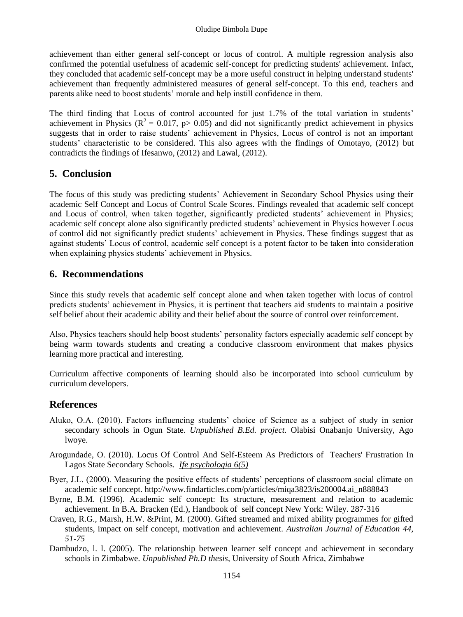achievement than either general self-concept or locus of control. A multiple regression analysis also confirmed the potential usefulness of academic self-concept for predicting students' achievement. Infact, they concluded that academic self-concept may be a more useful construct in helping understand students' achievement than frequently administered measures of general self-concept. To this end, teachers and parents alike need to boost students' morale and help instill confidence in them.

The third finding that Locus of control accounted for just 1.7% of the total variation in students' achievement in Physics ( $\mathbb{R}^2 = 0.017$ ,  $p > 0.05$ ) and did not significantly predict achievement in physics suggests that in order to raise students' achievement in Physics, Locus of control is not an important students' characteristic to be considered. This also agrees with the findings of Omotayo, (2012) but contradicts the findings of Ifesanwo, (2012) and Lawal, (2012).

# **5. Conclusion**

The focus of this study was predicting students' Achievement in Secondary School Physics using their academic Self Concept and Locus of Control Scale Scores. Findings revealed that academic self concept and Locus of control, when taken together, significantly predicted students' achievement in Physics; academic self concept alone also significantly predicted students' achievement in Physics however Locus of control did not significantly predict students' achievement in Physics. These findings suggest that as against students' Locus of control, academic self concept is a potent factor to be taken into consideration when explaining physics students' achievement in Physics.

# **6. Recommendations**

Since this study revels that academic self concept alone and when taken together with locus of control predicts students' achievement in Physics, it is pertinent that teachers aid students to maintain a positive self belief about their academic ability and their belief about the source of control over reinforcement.

Also, Physics teachers should help boost students' personality factors especially academic self concept by being warm towards students and creating a conducive classroom environment that makes physics learning more practical and interesting.

Curriculum affective components of learning should also be incorporated into school curriculum by curriculum developers.

# **References**

- Aluko, O.A. (2010). Factors influencing students' choice of Science as a subject of study in senior secondary schools in Ogun State. *Unpublished B.Ed. project.* Olabisi Onabanjo University, Ago lwoye.
- Arogundade, O. (2010). Locus Of Control And Self-Esteem As Predictors of Teachers' Frustration In Lagos State Secondary Schools. *Ife psychologia 6(5)*
- Byer, J.L. (2000). Measuring the positive effects of students' perceptions of classroom social climate on academic self concept. http://www.findarticles.com/p/articles/miqa3823/is200004.ai\_n888843
- Byrne, B.M. (1996). Academic self concept: Its structure, measurement and relation to academic achievement. In B.A. Bracken (Ed.), Handbook of self concept New York: Wiley. 287-316
- Craven, R.G., Marsh, H.W. &Print, M. (2000). Gifted streamed and mixed ability programmes for gifted students, impact on self concept, motivation and achievement. *Australian Journal of Education 44, 51-75*
- Dambudzo, l. l. (2005). The relationship between learner self concept and achievement in secondary schools in Zimbabwe. *Unpublished Ph.D thesis*, University of South Africa, Zimbabwe